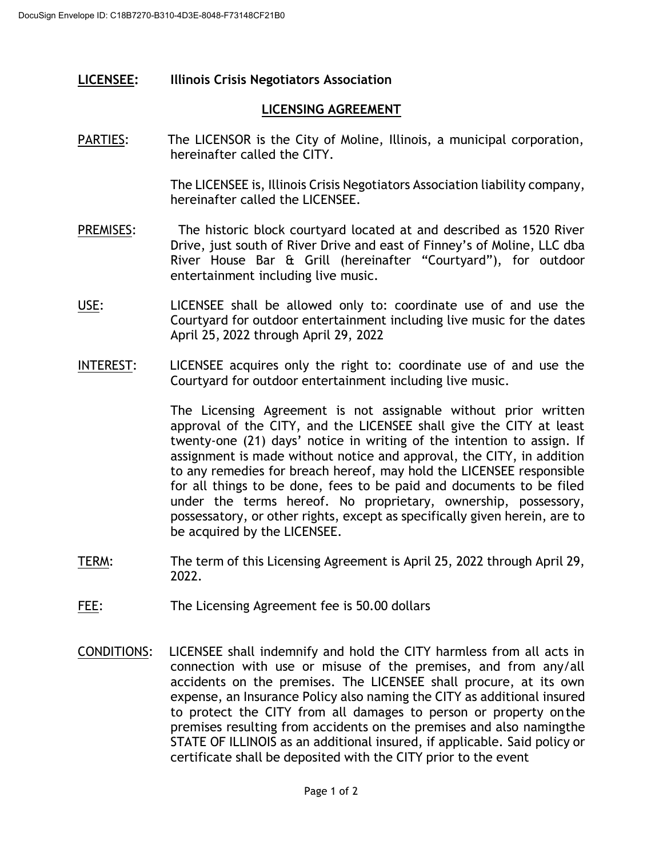## **LICENSEE: Illinois Crisis Negotiators Association**

## **LICENSING AGREEMENT**

PARTIES: The LICENSOR is the City of Moline, Illinois, a municipal corporation, hereinafter called the CITY.

> The LICENSEE is, Illinois Crisis Negotiators Association liability company, hereinafter called the LICENSEE.

- PREMISES: The historic block courtyard located at and described as 1520 River Drive, just south of River Drive and east of Finney's of Moline, LLC dba River House Bar & Grill (hereinafter "Courtyard"), for outdoor entertainment including live music.
- USE: LICENSEE shall be allowed only to: coordinate use of and use the Courtyard for outdoor entertainment including live music for the dates April 25, 2022 through April 29, 2022
- INTEREST: LICENSEE acquires only the right to: coordinate use of and use the Courtyard for outdoor entertainment including live music.

The Licensing Agreement is not assignable without prior written approval of the CITY, and the LICENSEE shall give the CITY at least twenty-one (21) days' notice in writing of the intention to assign. If assignment is made without notice and approval, the CITY, in addition to any remedies for breach hereof, may hold the LICENSEE responsible for all things to be done, fees to be paid and documents to be filed under the terms hereof. No proprietary, ownership, possessory, possessatory, or other rights, except as specifically given herein, are to be acquired by the LICENSEE.

- TERM: The term of this Licensing Agreement is April 25, 2022 through April 29, 2022.
- FEE: The Licensing Agreement fee is 50.00 dollars
- CONDITIONS: LICENSEE shall indemnify and hold the CITY harmless from all acts in connection with use or misuse of the premises, and from any/all accidents on the premises. The LICENSEE shall procure, at its own expense, an Insurance Policy also naming the CITY as additional insured to protect the CITY from all damages to person or property onthe premises resulting from accidents on the premises and also namingthe STATE OF ILLINOIS as an additional insured, if applicable. Said policy or certificate shall be deposited with the CITY prior to the event